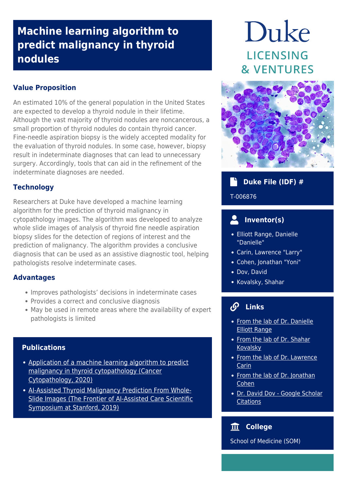# **Machine learning algorithm to predict malignancy in thyroid nodules**

## **Value Proposition**

An estimated 10% of the general population in the United States are expected to develop a thyroid nodule in their lifetime. Although the vast majority of thyroid nodules are noncancerous, a small proportion of thyroid nodules do contain thyroid cancer. Fine-needle aspiration biopsy is the widely accepted modality for the evaluation of thyroid nodules. In some case, however, biopsy result in indeterminate diagnoses that can lead to unnecessary surgery. Accordingly, tools that can aid in the refinement of the indeterminate diagnoses are needed.

### **Technology**

Researchers at Duke have developed a machine learning algorithm for the prediction of thyroid malignancy in cytopathology images. The algorithm was developed to analyze whole slide images of analysis of thyroid fine needle aspiration biopsy slides for the detection of regions of interest and the prediction of malignancy. The algorithm provides a conclusive diagnosis that can be used as an assistive diagnostic tool, helping pathologists resolve indeterminate cases.

### **Advantages**

- Improves pathologists' decisions in indeterminate cases
- Provides a correct and conclusive diagnosis
- May be used in remote areas where the availability of expert pathologists is limited

### **Publications**

- [Application of a machine learning algorithm to predict](https://acsjournals.onlinelibrary.wiley.com/doi/full/10.1002/cncy.22238?casa_token=Pubtc91yufIAAAAA%3A_-nFoXJQ_CtTHgqWdhNHqgCDpsgBFUcpWgsn-xUsBAWWAxznpNfzBOvBfNII8vPXMRxenwzTcb3hJwM) [malignancy in thyroid cytopathology \(Cancer](https://acsjournals.onlinelibrary.wiley.com/doi/full/10.1002/cncy.22238?casa_token=Pubtc91yufIAAAAA%3A_-nFoXJQ_CtTHgqWdhNHqgCDpsgBFUcpWgsn-xUsBAWWAxznpNfzBOvBfNII8vPXMRxenwzTcb3hJwM) [Cytopathology, 2020\)](https://acsjournals.onlinelibrary.wiley.com/doi/full/10.1002/cncy.22238?casa_token=Pubtc91yufIAAAAA%3A_-nFoXJQ_CtTHgqWdhNHqgCDpsgBFUcpWgsn-xUsBAWWAxznpNfzBOvBfNII8vPXMRxenwzTcb3hJwM)
- [AI-Assisted Thyroid Malignancy Prediction From Whole-](https://med.stanford.edu/content/dam/sm/frontierofaicare/documents/Posters/Dov%2C%20David.pdf)[Slide Images \(The Frontier of AI-Assisted Care Scientific](https://med.stanford.edu/content/dam/sm/frontierofaicare/documents/Posters/Dov%2C%20David.pdf) [Symposium at Stanford, 2019\)](https://med.stanford.edu/content/dam/sm/frontierofaicare/documents/Posters/Dov%2C%20David.pdf)

# Duke LICENSING **& VENTURES**



# **Duke File (IDF) #**

#### T-006876

# **Inventor(s)**

- Elliott Range, Danielle "Danielle"
- Carin, Lawrence "Larry"
- Cohen, Jonathan "Yoni"
- Dov, David
- Kovalsky, Shahar

# **Links**

- [From the lab of Dr. Danielle](https://scholars.duke.edu/person/danielle.range) [Elliott Range](https://scholars.duke.edu/person/danielle.range)
- [From the lab of Dr. Shahar](https://shaharkov.github.io) **[Kovalsky](https://shaharkov.github.io)**
- [From the lab of Dr. Lawrence](http://people.ee.duke.edu/~lcarin/) [Carin](http://people.ee.duke.edu/~lcarin/)
- [From the lab of Dr. Jonathan](https://scholars.duke.edu/person/jonathan.m.cohen) [Cohen](https://scholars.duke.edu/person/jonathan.m.cohen)
- [Dr. David Dov Google Scholar](https://scholar.google.co.il/citations?user=LyPMiLUAAAAJ&hl=en) **[Citations](https://scholar.google.co.il/citations?user=LyPMiLUAAAAJ&hl=en)**

#### **College** 皿

School of Medicine (SOM)